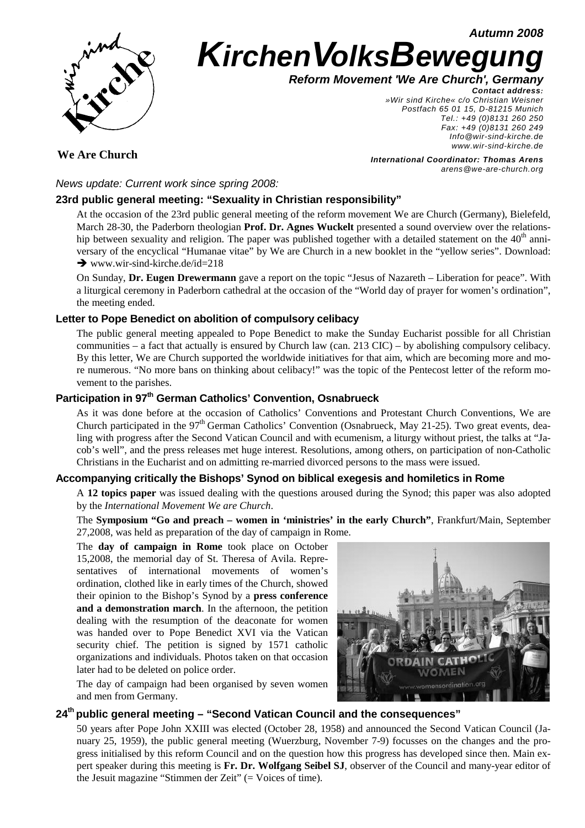**Autumn 2008**



# **KirchenVolksBewegung**

**Reform Movement 'We Are Church', Germany**

**Contact address:**  »Wir sind Kirche« c/o Christian Weisner Postfach 65 01 15, D-81215 Munich Tel.: +49 (0)8131 260 250 Fax: +49 (0)8131 260 249 Info@wir-sind-kirche.de www.wir-sind-kirche.de

**We Are Church**

**International Coordinator: Thomas Arens** arens@we-are-church.org

News update: Current work since spring 2008:

#### **23rd public general meeting: "Sexuality in Christian responsibility"**

At the occasion of the 23rd public general meeting of the reform movement We are Church (Germany), Bielefeld, March 28-30, the Paderborn theologian **Prof. Dr. Agnes Wuckelt** presented a sound overview over the relationship between sexuality and religion. The paper was published together with a detailed statement on the  $40<sup>th</sup>$  anniversary of the encyclical "Humanae vitae" by We are Church in a new booklet in the "yellow series". Download:  $\rightarrow$  www.wir-sind-kirche.de/id=218

On Sunday, **Dr. Eugen Drewermann** gave a report on the topic "Jesus of Nazareth – Liberation for peace". With a liturgical ceremony in Paderborn cathedral at the occasion of the "World day of prayer for women's ordination", the meeting ended.

#### **Letter to Pope Benedict on abolition of compulsory celibacy**

The public general meeting appealed to Pope Benedict to make the Sunday Eucharist possible for all Christian communities – a fact that actually is ensured by Church law (can. 213 CIC) – by abolishing compulsory celibacy. By this letter, We are Church supported the worldwide initiatives for that aim, which are becoming more and more numerous. "No more bans on thinking about celibacy!" was the topic of the Pentecost letter of the reform movement to the parishes.

## **Participation in 97th German Catholics' Convention, Osnabrueck**

As it was done before at the occasion of Catholics' Conventions and Protestant Church Conventions, We are Church participated in the  $97<sup>th</sup>$  German Catholics' Convention (Osnabrueck, May 21-25). Two great events, dealing with progress after the Second Vatican Council and with ecumenism, a liturgy without priest, the talks at "Jacob's well", and the press releases met huge interest. Resolutions, among others, on participation of non-Catholic Christians in the Eucharist and on admitting re-married divorced persons to the mass were issued.

#### **Accompanying critically the Bishops' Synod on biblical exegesis and homiletics in Rome**

A **12 topics paper** was issued dealing with the questions aroused during the Synod; this paper was also adopted by the *International Movement We are Church*.

The **Symposium "Go and preach – women in 'ministries' in the early Church"**, Frankfurt/Main, September 27,2008, was held as preparation of the day of campaign in Rome.

The **day of campaign in Rome** took place on October 15,2008, the memorial day of St. Theresa of Avila. Representatives of international movements of women's ordination, clothed like in early times of the Church, showed their opinion to the Bishop's Synod by a **press conference and a demonstration march**. In the afternoon, the petition dealing with the resumption of the deaconate for women was handed over to Pope Benedict XVI via the Vatican security chief. The petition is signed by 1571 catholic organizations and individuals. Photos taken on that occasion later had to be deleted on police order.

The day of campaign had been organised by seven women and men from Germany.

### **24th public general meeting – "Second Vatican Council and the consequences"**

50 years after Pope John XXIII was elected (October 28, 1958) and announced the Second Vatican Council (January 25, 1959), the public general meeting (Wuerzburg, November 7-9) focusses on the changes and the progress initialised by this reform Council and on the question how this progress has developed since then. Main expert speaker during this meeting is **Fr. Dr. Wolfgang Seibel SJ**, observer of the Council and many-year editor of the Jesuit magazine "Stimmen der Zeit" (= Voices of time).